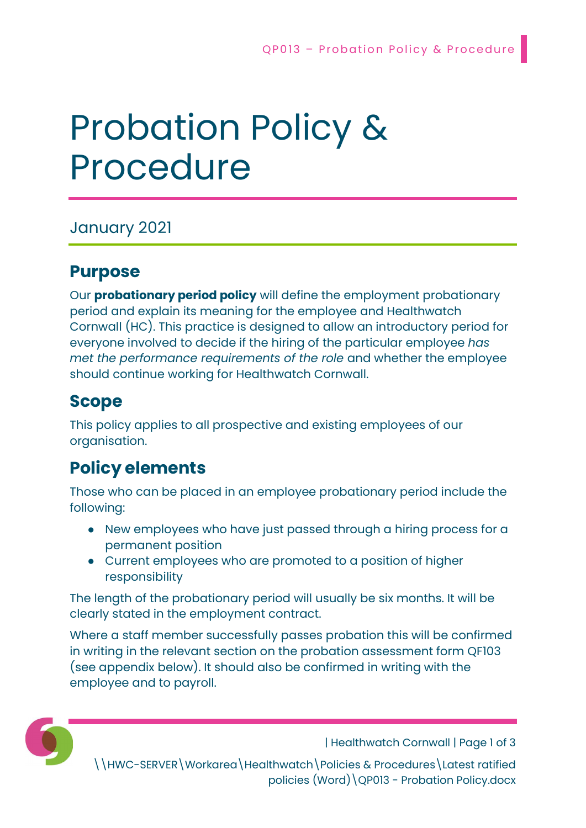# Probation Policy & Procedure

January 2021

## Purpose

Our **probationary period policy** will define the employment probationary period and explain its meaning for the employee and Healthwatch Cornwall (HC). This practice is designed to allow an introductory period for everyone involved to decide if the hiring of the particular employee has met the performance requirements of the role and whether the employee should continue working for Healthwatch Cornwall.

## Scope

This policy applies to all prospective and existing employees of our organisation.

## Policy elements

Those who can be placed in an employee probationary period include the following:

- New employees who have just passed through a hiring process for a permanent position
- Current employees who are promoted to a position of higher responsibility

The length of the probationary period will usually be six months. It will be clearly stated in the employment contract.

Where a staff member successfully passes probation this will be confirmed in writing in the relevant section on the probation assessment form QF103 (see appendix below). It should also be confirmed in writing with the employee and to payroll.



| Healthwatch Cornwall | Page 1 of 3

\\HWC-SERVER\Workarea\Healthwatch\Policies & Procedures\Latest ratified policies (Word)\QP013 - Probation Policy.docx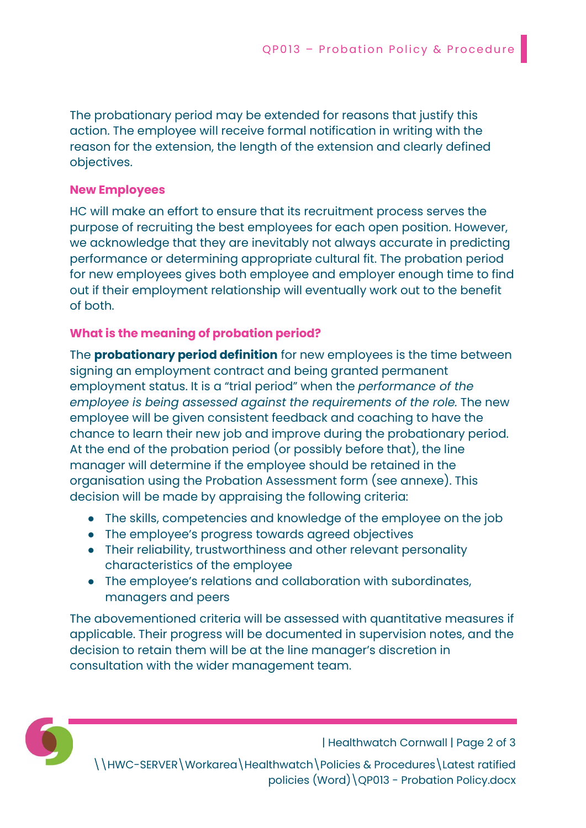The probationary period may be extended for reasons that justify this action. The employee will receive formal notification in writing with the reason for the extension, the length of the extension and clearly defined objectives.

#### New Employees

HC will make an effort to ensure that its recruitment process serves the purpose of recruiting the best employees for each open position. However, we acknowledge that they are inevitably not always accurate in predicting performance or determining appropriate cultural fit. The probation period for new employees gives both employee and employer enough time to find out if their employment relationship will eventually work out to the benefit of both.

#### What is the meaning of probation period?

The **probationary period definition** for new employees is the time between signing an employment contract and being granted permanent employment status. It is a "trial period" when the performance of the employee is being assessed against the requirements of the role. The new employee will be given consistent feedback and coaching to have the chance to learn their new job and improve during the probationary period. At the end of the probation period (or possibly before that), the line manager will determine if the employee should be retained in the organisation using the Probation Assessment form (see annexe). This decision will be made by appraising the following criteria:

- The skills, competencies and knowledge of the employee on the job
- The employee's progress towards agreed objectives
- Their reliability, trustworthiness and other relevant personality characteristics of the employee
- The employee's relations and collaboration with subordinates, managers and peers

The abovementioned criteria will be assessed with quantitative measures if applicable. Their progress will be documented in supervision notes, and the decision to retain them will be at the line manager's discretion in consultation with the wider management team.



| Healthwatch Cornwall | Page 2 of 3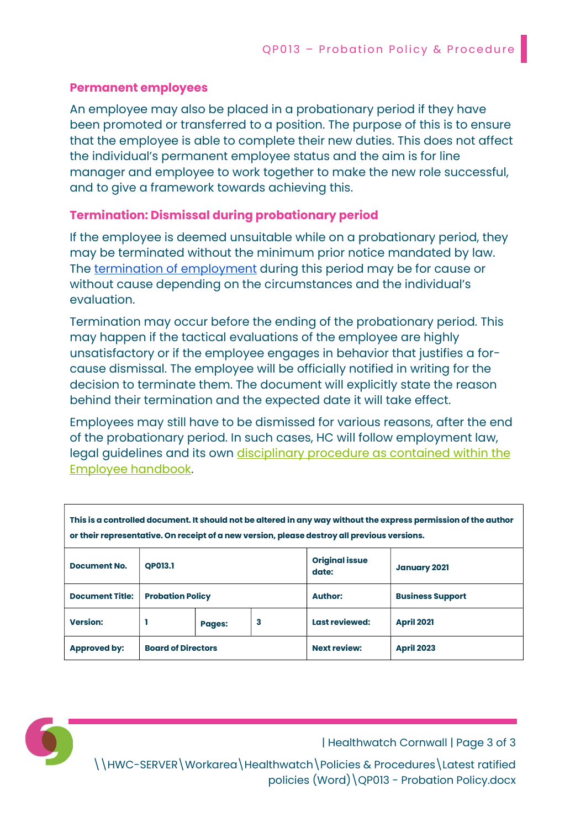#### Permanent employees

An employee may also be placed in a probationary period if they have been promoted or transferred to a position. The purpose of this is to ensure that the employee is able to complete their new duties. This does not affect the individual's permanent employee status and the aim is for line manager and employee to work together to make the new role successful, and to give a framework towards achieving this.

#### Termination: Dismissal during probationary period

If the employee is deemed unsuitable while on a probationary period, they may be terminated without the minimum prior notice mandated by law. The termination of employment during this period may be for cause or without cause depending on the circumstances and the individual's evaluation.

Termination may occur before the ending of the probationary period. This may happen if the tactical evaluations of the employee are highly unsatisfactory or if the employee engages in behavior that justifies a forcause dismissal. The employee will be officially notified in writing for the decision to terminate them. The document will explicitly state the reason behind their termination and the expected date it will take effect.

Employees may still have to be dismissed for various reasons, after the end of the probationary period. In such cases, HC will follow employment law, legal guidelines and its own disciplinary procedure as contained within the Employee handbook.

| This is a controlled document. It should not be altered in any way without the express permission of the author<br>or their representative. On receipt of a new version, please destroy all previous versions. |                           |               |   |                                |                         |
|----------------------------------------------------------------------------------------------------------------------------------------------------------------------------------------------------------------|---------------------------|---------------|---|--------------------------------|-------------------------|
| <b>Document No.</b>                                                                                                                                                                                            | <b>OP013.1</b>            |               |   | <b>Original issue</b><br>date: | <b>January 2021</b>     |
| <b>Document Title:</b>                                                                                                                                                                                         | <b>Probation Policy</b>   |               |   | <b>Author:</b>                 | <b>Business Support</b> |
| <b>Version:</b>                                                                                                                                                                                                |                           | <b>Pages:</b> | 3 | Last reviewed:                 | <b>April 2021</b>       |
| <b>Approved by:</b>                                                                                                                                                                                            | <b>Board of Directors</b> |               |   | <b>Next review:</b>            | <b>April 2023</b>       |

| Healthwatch Cornwall | Page 3 of 3

\\HWC-SERVER\Workarea\Healthwatch\Policies & Procedures\Latest ratified policies (Word)\QP013 - Probation Policy.docx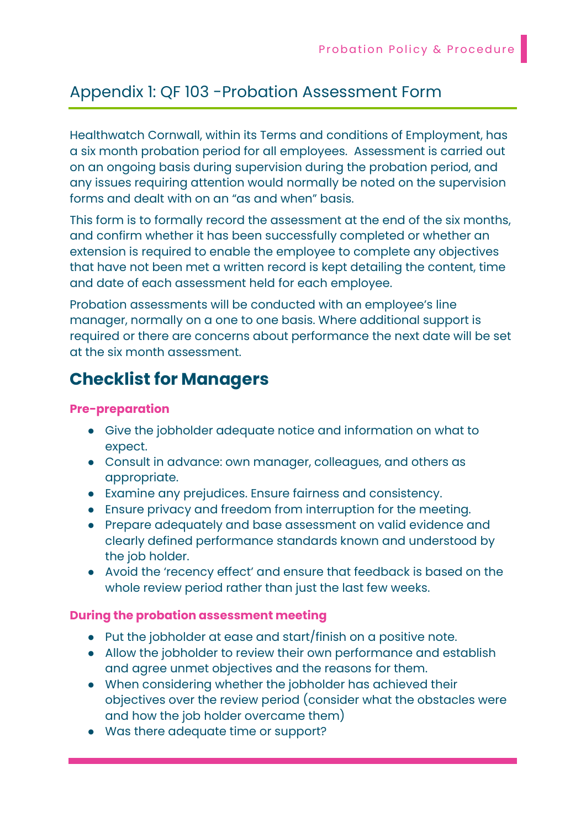### Appendix 1: QF 103 -Probation Assessment Form

Healthwatch Cornwall, within its Terms and conditions of Employment, has a six month probation period for all employees. Assessment is carried out on an ongoing basis during supervision during the probation period, and any issues requiring attention would normally be noted on the supervision forms and dealt with on an "as and when" basis.

This form is to formally record the assessment at the end of the six months, and confirm whether it has been successfully completed or whether an extension is required to enable the employee to complete any objectives that have not been met a written record is kept detailing the content, time and date of each assessment held for each employee.

Probation assessments will be conducted with an employee's line manager, normally on a one to one basis. Where additional support is required or there are concerns about performance the next date will be set at the six month assessment.

## Checklist for Managers

#### Pre-preparation

- Give the jobholder adequate notice and information on what to expect.
- Consult in advance: own manager, colleagues, and others as appropriate.
- Examine any prejudices. Ensure fairness and consistency.
- Ensure privacy and freedom from interruption for the meeting.
- Prepare adequately and base assessment on valid evidence and clearly defined performance standards known and understood by the job holder.
- Avoid the 'recency effect' and ensure that feedback is based on the whole review period rather than just the last few weeks.

#### During the probation assessment meeting

- Put the jobholder at ease and start/finish on a positive note.
- Allow the jobholder to review their own performance and establish and agree unmet objectives and the reasons for them.
- When considering whether the jobholder has achieved their objectives over the review period (consider what the obstacles were and how the job holder overcame them)
- Was there adequate time or support?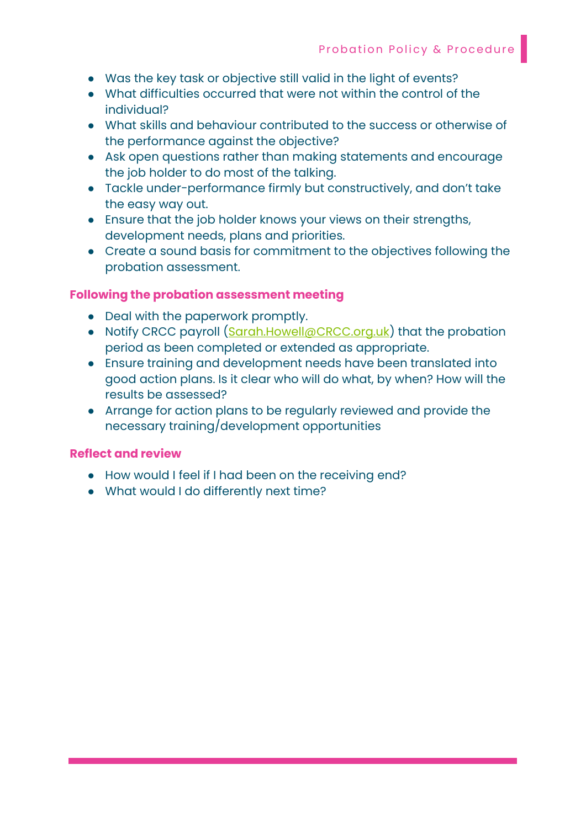- Was the key task or objective still valid in the light of events?
- What difficulties occurred that were not within the control of the individual?
- What skills and behaviour contributed to the success or otherwise of the performance against the objective?
- Ask open questions rather than making statements and encourage the job holder to do most of the talking.
- Tackle under-performance firmly but constructively, and don't take the easy way out.
- Ensure that the job holder knows your views on their strengths, development needs, plans and priorities.
- Create a sound basis for commitment to the objectives following the probation assessment.

#### Following the probation assessment meeting

- Deal with the paperwork promptly.
- Notify CRCC payroll (Sarah.Howell@CRCC.org.uk) that the probation period as been completed or extended as appropriate.
- Ensure training and development needs have been translated into good action plans. Is it clear who will do what, by when? How will the results be assessed?
- Arrange for action plans to be regularly reviewed and provide the necessary training/development opportunities

#### Reflect and review

- How would I feel if I had been on the receiving end?
- What would I do differently next time?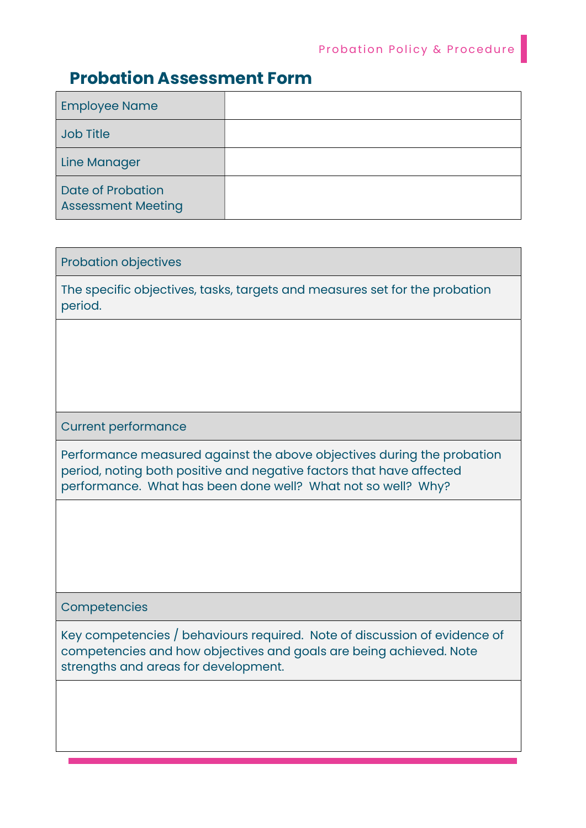## Probation Assessment Form

| <b>Employee Name</b>                                  |  |
|-------------------------------------------------------|--|
| <b>Job Title</b>                                      |  |
| <b>Line Manager</b>                                   |  |
| <b>Date of Probation</b><br><b>Assessment Meeting</b> |  |

#### Probation objectives

The specific objectives, tasks, targets and measures set for the probation period.

#### Current performance

Performance measured against the above objectives during the probation period, noting both positive and negative factors that have affected performance. What has been done well? What not so well? Why?

#### **Competencies**

Key competencies / behaviours required. Note of discussion of evidence of competencies and how objectives and goals are being achieved. Note strengths and areas for development.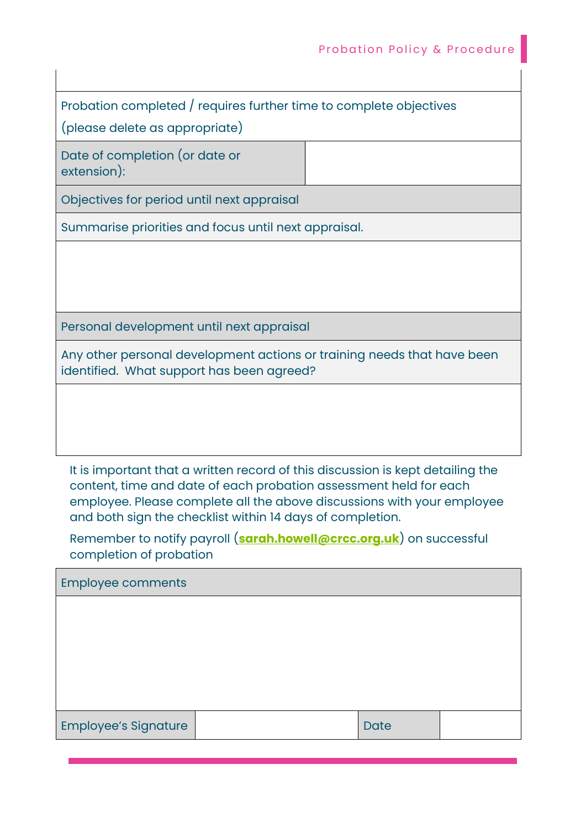Probation completed / requires further time to complete objectives

(please delete as appropriate)

Date of completion (or date or extension):

Objectives for period until next appraisal

Summarise priorities and focus until next appraisal.

Personal development until next appraisal

Any other personal development actions or training needs that have been identified. What support has been agreed?

It is important that a written record of this discussion is kept detailing the content, time and date of each probation assessment held for each employee. Please complete all the above discussions with your employee and both sign the checklist within 14 days of completion.

Remember to notify payroll (**sarah.howell@crcc.org.uk**) on successful completion of probation

| <b>Employee comments</b>    |  |             |  |
|-----------------------------|--|-------------|--|
|                             |  |             |  |
|                             |  |             |  |
|                             |  |             |  |
|                             |  |             |  |
| <b>Employee's Signature</b> |  | <b>Date</b> |  |